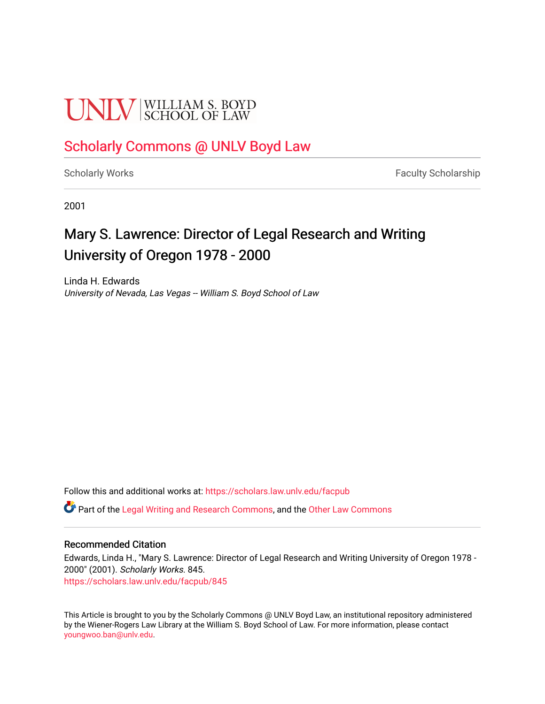# **UNIV** SCHOOL OF LAW

## [Scholarly Commons @ UNLV Boyd Law](https://scholars.law.unlv.edu/)

[Scholarly Works](https://scholars.law.unlv.edu/facpub) **Faculty Scholarship** Faculty Scholarship

2001

# Mary S. Lawrence: Director of Legal Research and Writing University of Oregon 1978 - 2000

Linda H. Edwards University of Nevada, Las Vegas -- William S. Boyd School of Law

Follow this and additional works at: [https://scholars.law.unlv.edu/facpub](https://scholars.law.unlv.edu/facpub?utm_source=scholars.law.unlv.edu%2Ffacpub%2F845&utm_medium=PDF&utm_campaign=PDFCoverPages)

**C** Part of the [Legal Writing and Research Commons,](http://network.bepress.com/hgg/discipline/614?utm_source=scholars.law.unlv.edu%2Ffacpub%2F845&utm_medium=PDF&utm_campaign=PDFCoverPages) and the Other Law Commons

## Recommended Citation

Edwards, Linda H., "Mary S. Lawrence: Director of Legal Research and Writing University of Oregon 1978 - 2000" (2001). Scholarly Works. 845. [https://scholars.law.unlv.edu/facpub/845](https://scholars.law.unlv.edu/facpub/845?utm_source=scholars.law.unlv.edu%2Ffacpub%2F845&utm_medium=PDF&utm_campaign=PDFCoverPages)

This Article is brought to you by the Scholarly Commons @ UNLV Boyd Law, an institutional repository administered by the Wiener-Rogers Law Library at the William S. Boyd School of Law. For more information, please contact [youngwoo.ban@unlv.edu.](mailto:youngwoo.ban@unlv.edu)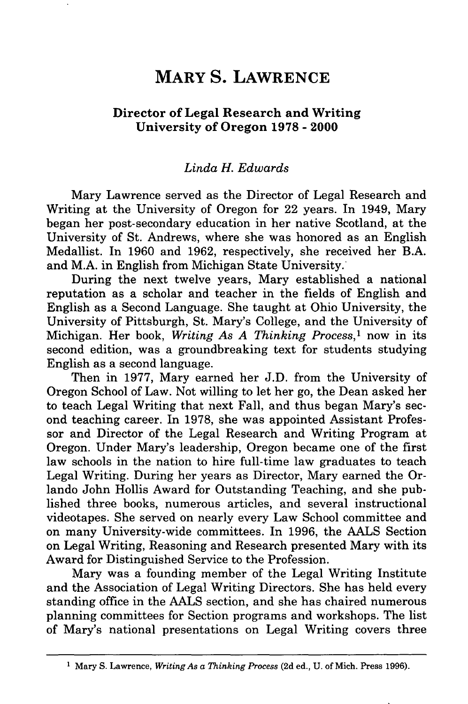## **MARY S. LAWRENCE**

### **Director of Legal Research and Writing University of Oregon 1978 - 2000**

#### *Linda H. Edwards*

Mary Lawrence served as the Director of Legal Research and Writing at the University of Oregon for 22 years. In 1949, Mary began her post-secondary education in her native Scotland, at the University of St. Andrews, where she was honored as an English Medallist. In **1960** and **1962,** respectively, she received her B.A. and M.A. in English from Michigan State University.

During the next twelve years, Mary established a national reputation as a scholar and teacher in the fields of English and English as a Second Language. She taught at Ohio University, the University of Pittsburgh, St. Mary's College, and the University of Michigan. Her book, *Writing As A Thinking Process,'* now in its second edition, was a groundbreaking text for students studying English as a second language.

Then in **1977,** Mary earned her **J.D.** from the University of Oregon School of Law. Not willing to let her go, the Dean asked her to teach Legal Writing that next Fall, and thus began Mary's second teaching career. In **1978,** she was appointed Assistant Professor and Director of the Legal Research and Writing Program at Oregon. Under Mary's leadership, Oregon became one of the first law schools in the nation to hire full-time law graduates to teach Legal Writing. During her years as Director, Mary earned the Orlando John Hollis Award for Outstanding Teaching, and she published three books, numerous articles, and several instructional videotapes. She served on nearly every Law School committee and on many University-wide committees. In **1996,** the **AALS** Section on Legal Writing, Reasoning and Research presented Mary with its Award for Distinguished Service to the Profession.

Mary was a founding member of the Legal Writing Institute and the Association of Legal Writing Directors. She has held every standing office in the **AALS** section, and she has chaired numerous planning committees for Section programs and workshops. The list of Mary's national presentations on Legal Writing covers three

**<sup>1</sup>** Mary **S.** Lawrence, *Writing As a Thinking Process* **(2d** ed., **U.** of Mich. Press **1996).**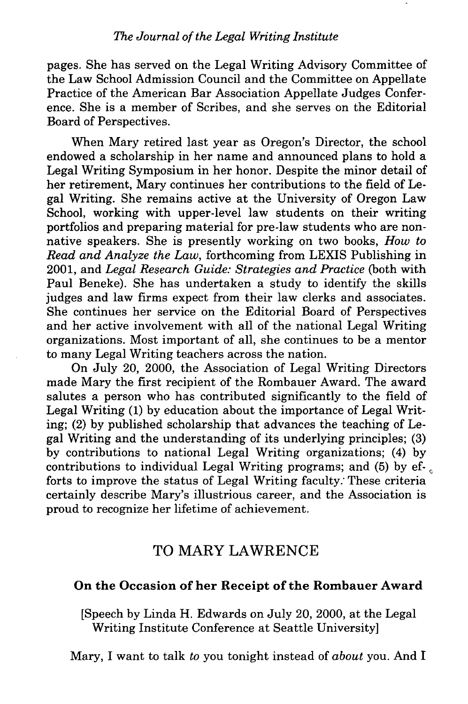pages. She has served on the Legal Writing Advisory Committee of the Law School Admission Council and the Committee on Appellate Practice of the American Bar Association Appellate Judges Conference. She is a member of Scribes, and she serves on the Editorial Board of Perspectives.

When Mary retired last year as Oregon's Director, the school endowed a scholarship in her name and announced plans to hold a Legal Writing Symposium in her honor. Despite the minor detail of her retirement, Mary continues her contributions to the field of Legal Writing. She remains active at the University of Oregon Law School, working with upper-level law students on their writing portfolios and preparing material for pre-law students who are nonnative speakers. She is presently working on two books, *How to Read and Analyze the Law,* forthcoming from LEXIS Publishing in 2001, and *Legal Research Guide: Strategies and Practice* (both with Paul Beneke). She has undertaken a study to identify the skills judges and law firms expect from their law clerks and associates. She continues her service on the Editorial Board of Perspectives and her active involvement with all of the national Legal Writing organizations. Most important of all, she continues to be a mentor to many Legal Writing teachers across the nation.

On July 20, 2000, the Association of Legal Writing Directors made Mary the first recipient of the Rombauer Award. The award salutes a person who has contributed significantly to the field of Legal Writing (1) by education about the importance of Legal Writing; (2) by published scholarship that advances the teaching of Legal Writing and the understanding of its underlying principles; (3) by contributions to national Legal Writing organizations; (4) by contributions to individual Legal Writing programs; and (5) by efforts to improve the status of Legal Writing faculty. These criteria certainly describe Mary's illustrious career, and the Association is proud to recognize her lifetime of achievement.

## TO MARY LAWRENCE

## On the Occasion of her Receipt of the Rombauer Award

[Speech by Linda H. Edwards on July 20, 2000, at the Legal Writing Institute Conference at Seattle University]

Mary, I want to talk *to* you tonight instead of *about* you. And I